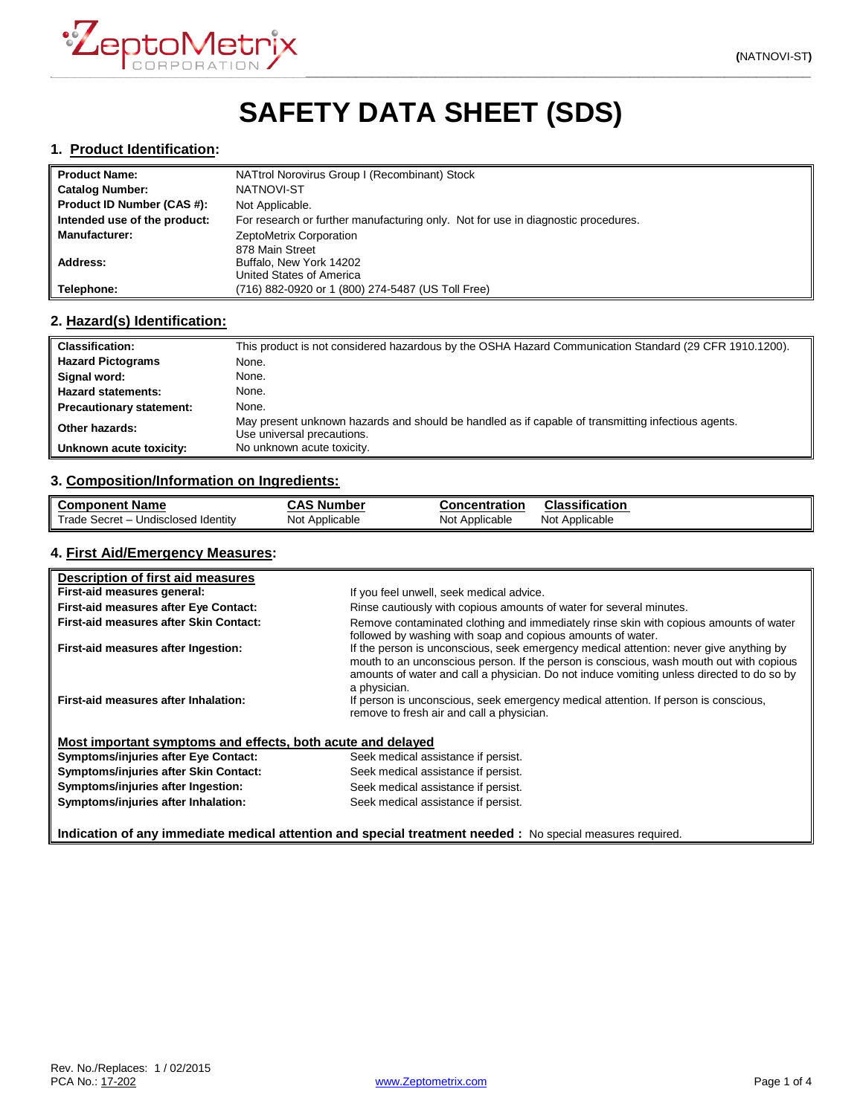

# **SAFETY DATA SHEET (SDS)**

#### **1. Product Identification:**

| <b>Product Name:</b>         | NATtrol Norovirus Group I (Recombinant) Stock                                     |
|------------------------------|-----------------------------------------------------------------------------------|
| <b>Catalog Number:</b>       | NATNOVI-ST                                                                        |
| Product ID Number (CAS #):   | Not Applicable.                                                                   |
| Intended use of the product: | For research or further manufacturing only. Not for use in diagnostic procedures. |
| <b>Manufacturer:</b>         | ZeptoMetrix Corporation                                                           |
|                              | 878 Main Street                                                                   |
| Address:                     | Buffalo, New York 14202                                                           |
|                              | United States of America                                                          |
| Telephone:                   | (716) 882-0920 or 1 (800) 274-5487 (US Toll Free)                                 |

## **2. Hazard(s) Identification:**

| <b>Classification:</b>          | This product is not considered hazardous by the OSHA Hazard Communication Standard (29 CFR 1910.1200).                           |
|---------------------------------|----------------------------------------------------------------------------------------------------------------------------------|
| <b>Hazard Pictograms</b>        | None.                                                                                                                            |
| Signal word:                    | None.                                                                                                                            |
| <b>Hazard statements:</b>       | None.                                                                                                                            |
| <b>Precautionary statement:</b> | None.                                                                                                                            |
| Other hazards:                  | May present unknown hazards and should be handled as if capable of transmitting infectious agents.<br>Use universal precautions. |
| Unknown acute toxicity:         | No unknown acute toxicity.                                                                                                       |

## **3. Composition/Information on Ingredients:**

| <b>Component Name</b>                               | <b>CAS Number</b> | <b>Concentration</b> | Classification |
|-----------------------------------------------------|-------------------|----------------------|----------------|
| Trade Secret $ \sim$<br><b>Undisclosed Identity</b> | Not Applicable    | Not Applicable       | Not Applicable |

# **4. First Aid/Emergency Measures:**

| Description of first aid measures                           |                                                                                                                                                                                                                                                                                                |
|-------------------------------------------------------------|------------------------------------------------------------------------------------------------------------------------------------------------------------------------------------------------------------------------------------------------------------------------------------------------|
| First-aid measures general:                                 | If you feel unwell, seek medical advice.                                                                                                                                                                                                                                                       |
| First-aid measures after Eye Contact:                       | Rinse cautiously with copious amounts of water for several minutes.                                                                                                                                                                                                                            |
| First-aid measures after Skin Contact:                      | Remove contaminated clothing and immediately rinse skin with copious amounts of water<br>followed by washing with soap and copious amounts of water.                                                                                                                                           |
| First-aid measures after Ingestion:                         | If the person is unconscious, seek emergency medical attention: never give anything by<br>mouth to an unconscious person. If the person is conscious, wash mouth out with copious<br>amounts of water and call a physician. Do not induce vomiting unless directed to do so by<br>a physician. |
| First-aid measures after Inhalation:                        | If person is unconscious, seek emergency medical attention. If person is conscious,<br>remove to fresh air and call a physician.                                                                                                                                                               |
| Most important symptoms and effects, both acute and delayed |                                                                                                                                                                                                                                                                                                |
| <b>Symptoms/injuries after Eye Contact:</b>                 | Seek medical assistance if persist.                                                                                                                                                                                                                                                            |
| Symptoms/injuries after Skin Contact:                       | Seek medical assistance if persist.                                                                                                                                                                                                                                                            |
| Symptoms/injuries after Ingestion:                          | Seek medical assistance if persist.                                                                                                                                                                                                                                                            |
| Symptoms/injuries after Inhalation:                         | Seek medical assistance if persist.                                                                                                                                                                                                                                                            |

**Indication of any immediate medical attention and special treatment needed :** No special measures required.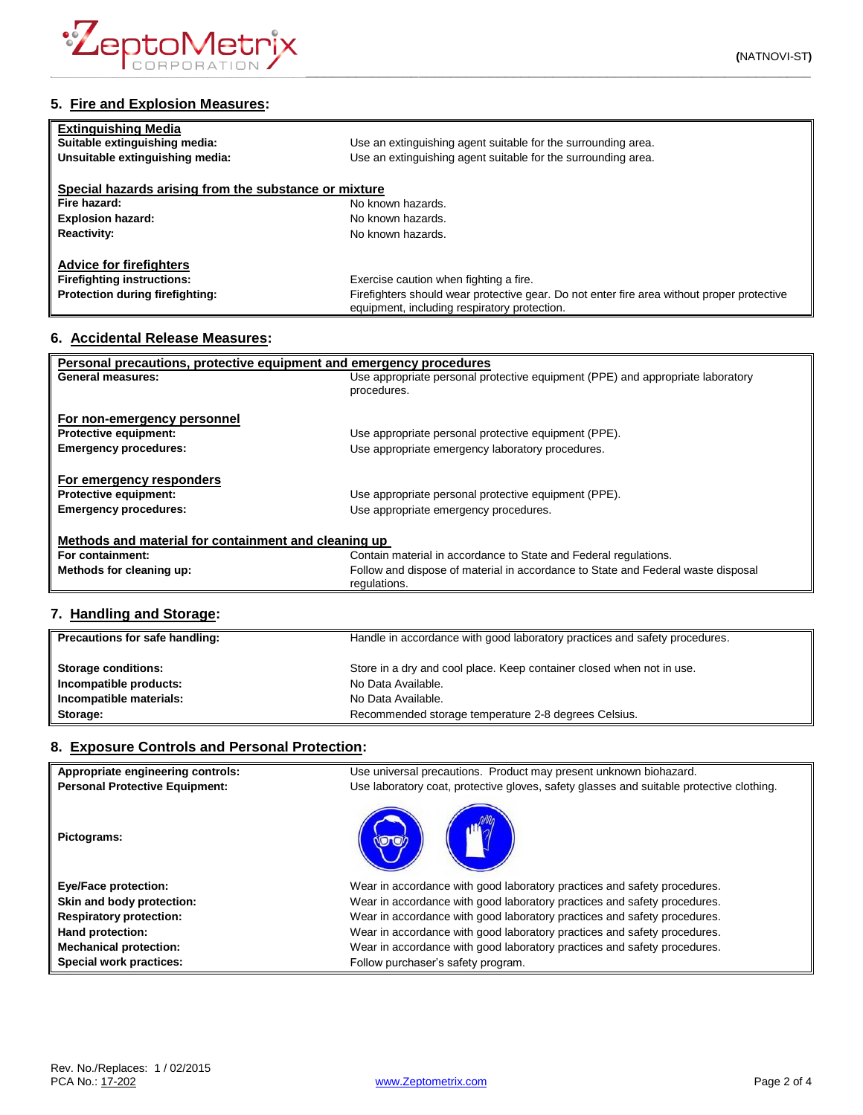

| <b>Extinguishing Media</b><br>Suitable extinguishing media: | Use an extinguishing agent suitable for the surrounding area.                                                                              |
|-------------------------------------------------------------|--------------------------------------------------------------------------------------------------------------------------------------------|
| Unsuitable extinguishing media:                             | Use an extinguishing agent suitable for the surrounding area.                                                                              |
| Special hazards arising from the substance or mixture       |                                                                                                                                            |
| Fire hazard:                                                | No known hazards.                                                                                                                          |
| <b>Explosion hazard:</b>                                    | No known hazards.                                                                                                                          |
| <b>Reactivity:</b>                                          | No known hazards.                                                                                                                          |
| <b>Advice for firefighters</b>                              |                                                                                                                                            |
| <b>Firefighting instructions:</b>                           | Exercise caution when fighting a fire.                                                                                                     |
| Protection during firefighting:                             | Firefighters should wear protective gear. Do not enter fire area without proper protective<br>equipment, including respiratory protection. |

#### **6. Accidental Release Measures:**

| Personal precautions, protective equipment and emergency procedures |                                                                                  |  |
|---------------------------------------------------------------------|----------------------------------------------------------------------------------|--|
| General measures:                                                   | Use appropriate personal protective equipment (PPE) and appropriate laboratory   |  |
|                                                                     | procedures.                                                                      |  |
|                                                                     |                                                                                  |  |
| For non-emergency personnel                                         |                                                                                  |  |
| <b>Protective equipment:</b>                                        | Use appropriate personal protective equipment (PPE).                             |  |
| <b>Emergency procedures:</b>                                        | Use appropriate emergency laboratory procedures.                                 |  |
|                                                                     |                                                                                  |  |
| For emergency responders                                            |                                                                                  |  |
| <b>Protective equipment:</b>                                        | Use appropriate personal protective equipment (PPE).                             |  |
| <b>Emergency procedures:</b>                                        | Use appropriate emergency procedures.                                            |  |
|                                                                     |                                                                                  |  |
| Methods and material for containment and cleaning up                |                                                                                  |  |
| For containment:                                                    | Contain material in accordance to State and Federal regulations.                 |  |
| Methods for cleaning up:                                            | Follow and dispose of material in accordance to State and Federal waste disposal |  |
|                                                                     | regulations.                                                                     |  |

# **7. Handling and Storage:**

| Precautions for safe handling: | Handle in accordance with good laboratory practices and safety procedures. |
|--------------------------------|----------------------------------------------------------------------------|
| <b>Storage conditions:</b>     | Store in a dry and cool place. Keep container closed when not in use.      |
| Incompatible products:         | No Data Available.                                                         |
| Incompatible materials:        | No Data Available.                                                         |
| Storage:                       | Recommended storage temperature 2-8 degrees Celsius.                       |

# **8. Exposure Controls and Personal Protection:**

| Appropriate engineering controls:     | Use universal precautions. Product may present unknown biohazard.                        |
|---------------------------------------|------------------------------------------------------------------------------------------|
| <b>Personal Protective Equipment:</b> | Use laboratory coat, protective gloves, safety glasses and suitable protective clothing. |
| Pictograms:                           |                                                                                          |
| <b>Eye/Face protection:</b>           | Wear in accordance with good laboratory practices and safety procedures.                 |
| Skin and body protection:             | Wear in accordance with good laboratory practices and safety procedures.                 |
| <b>Respiratory protection:</b>        | Wear in accordance with good laboratory practices and safety procedures.                 |
| Hand protection:                      | Wear in accordance with good laboratory practices and safety procedures.                 |
| <b>Mechanical protection:</b>         | Wear in accordance with good laboratory practices and safety procedures.                 |
| <b>Special work practices:</b>        | Follow purchaser's safety program.                                                       |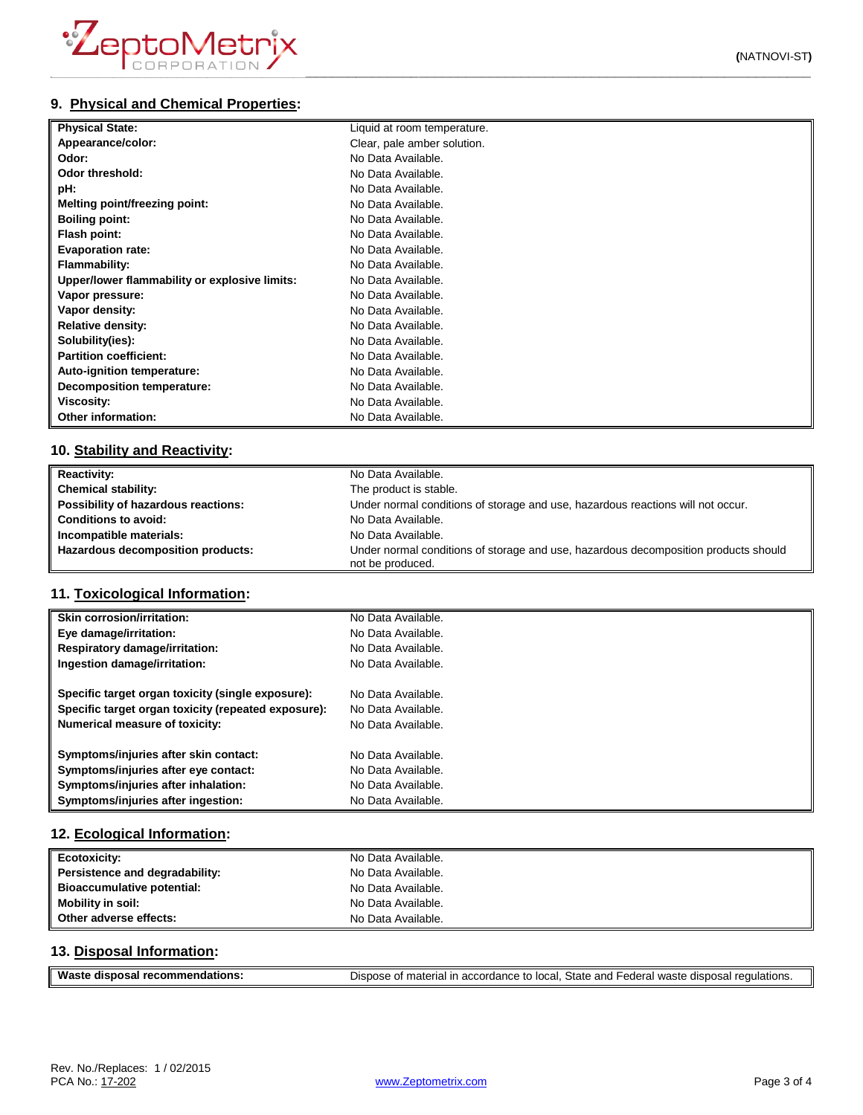# **9. Physical and Chemical Properties:**

| <b>Physical State:</b>                        | Liquid at room temperature. |
|-----------------------------------------------|-----------------------------|
| Appearance/color:                             | Clear, pale amber solution. |
| Odor:                                         | No Data Available.          |
| Odor threshold:                               | No Data Available.          |
| pH:                                           | No Data Available.          |
| <b>Melting point/freezing point:</b>          | No Data Available.          |
| <b>Boiling point:</b>                         | No Data Available.          |
| Flash point:                                  | No Data Available.          |
| <b>Evaporation rate:</b>                      | No Data Available.          |
| <b>Flammability:</b>                          | No Data Available.          |
| Upper/lower flammability or explosive limits: | No Data Available.          |
| Vapor pressure:                               | No Data Available.          |
| Vapor density:                                | No Data Available.          |
| <b>Relative density:</b>                      | No Data Available.          |
| Solubility(ies):                              | No Data Available.          |
| <b>Partition coefficient:</b>                 | No Data Available.          |
| Auto-ignition temperature:                    | No Data Available.          |
| Decomposition temperature:                    | No Data Available.          |
| Viscosity:                                    | No Data Available.          |
| Other information:                            | No Data Available.          |

## **10. Stability and Reactivity:**

| <b>Reactivity:</b>                  | No Data Available.                                                                                      |
|-------------------------------------|---------------------------------------------------------------------------------------------------------|
| <b>Chemical stability:</b>          | The product is stable.                                                                                  |
| Possibility of hazardous reactions: | Under normal conditions of storage and use, hazardous reactions will not occur.                         |
| <b>Conditions to avoid:</b>         | No Data Available.                                                                                      |
| Incompatible materials:             | No Data Available.                                                                                      |
| Hazardous decomposition products:   | Under normal conditions of storage and use, hazardous decomposition products should<br>not be produced. |

#### **11. Toxicological Information:**

| Skin corrosion/irritation:                          | No Data Available. |
|-----------------------------------------------------|--------------------|
| Eye damage/irritation:                              | No Data Available. |
| Respiratory damage/irritation:                      | No Data Available. |
| Ingestion damage/irritation:                        | No Data Available. |
| Specific target organ toxicity (single exposure):   | No Data Available. |
| Specific target organ toxicity (repeated exposure): | No Data Available. |
| Numerical measure of toxicity:                      | No Data Available. |
| Symptoms/injuries after skin contact:               | No Data Available. |
| Symptoms/injuries after eye contact:                | No Data Available. |
| Symptoms/injuries after inhalation:                 | No Data Available. |
| Symptoms/injuries after ingestion:                  | No Data Available. |

## **12. Ecological Information:**

| Ecotoxicity:                   | No Data Available. |
|--------------------------------|--------------------|
| Persistence and degradability: | No Data Available. |
| Bioaccumulative potential:     | No Data Available. |
| <b>Mobility in soil:</b>       | No Data Available. |
| Other adverse effects:         | No Data Available. |

#### **13. Disposal Information:**

| Waste disposal recommendations: | Dispose of material in accordance to local, State and Federal waste disposal regulations. |
|---------------------------------|-------------------------------------------------------------------------------------------|